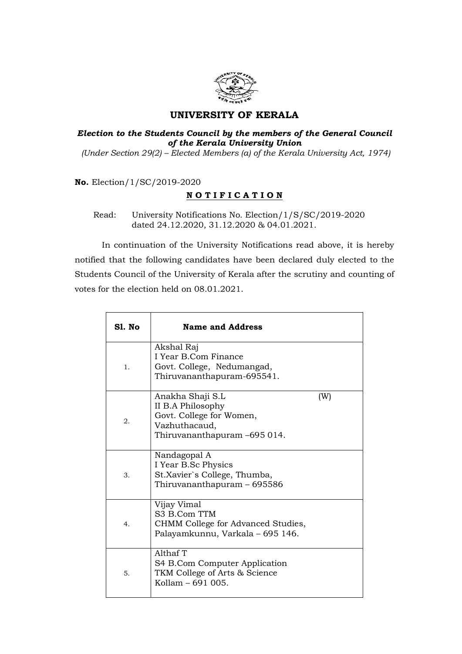

## UNIVERSITY OF KERALA

## Election to the Students Council by the members of the General Council of the Kerala University Union (Under Section 29(2) – Elected Members (a) of the Kerala University Act, 1974)

No. Election/1/SC/2019-2020

## NOTIFICATION

 Read: University Notifications No. Election/1/S/SC/2019-2020 dated 24.12.2020, 31.12.2020 & 04.01.2021.

 In continuation of the University Notifications read above, it is hereby notified that the following candidates have been declared duly elected to the Students Council of the University of Kerala after the scrutiny and counting of votes for the election held on 08.01.2021.

| <b>S1. No</b> | <b>Name and Address</b>                                                                                            |     |
|---------------|--------------------------------------------------------------------------------------------------------------------|-----|
| 1.            | Akshal Raj<br>I Year B.Com Finance<br>Govt. College, Nedumangad,<br>Thiruvananthapuram-695541.                     |     |
| 2.            | Anakha Shaji S.L<br>II B.A Philosophy<br>Govt. College for Women,<br>Vazhuthacaud,<br>Thiruvananthapuram -695 014. | (W) |
| 3.            | Nandagopal A<br>I Year B.Sc Physics<br>St.Xavier's College, Thumba,<br>Thiruvananthapuram - 695586                 |     |
| 4.            | Vijay Vimal<br>S3 B.Com TTM<br>CHMM College for Advanced Studies,<br>Palayamkunnu, Varkala - 695 146.              |     |
| 5.            | Althaf T<br>S4 B.Com Computer Application<br>TKM College of Arts & Science<br>Kollam - 691 005.                    |     |